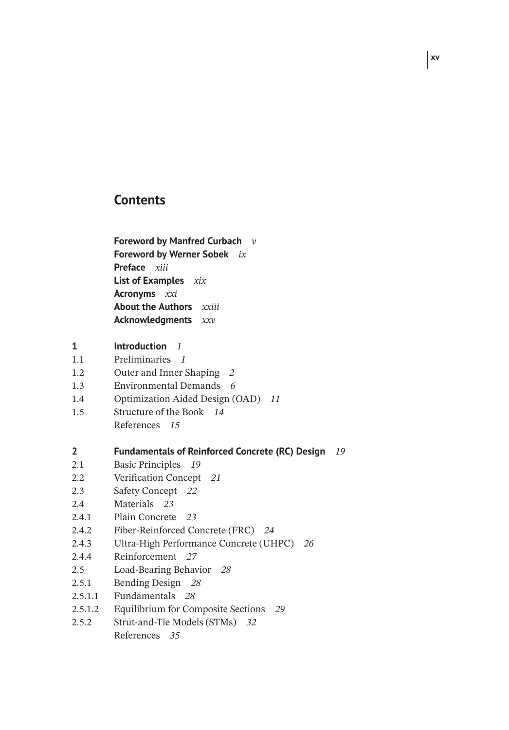# **Contents**

**Foreword by Manfred Curbach** *v* **Foreword by Werner Sobek** *ix* **Preface** *xiii* **List of Examples** *xix* **Acronyms** *xxi* **About the Authors** *xxiii* **Acknowledgments** *xxv*

#### **1 Introduction** *1*

- 1.1 Preliminaries *1*
- 1.2 Outer and Inner Shaping *2*
- 1.3 Environmental Demands *6*
- 1.4 Optimization Aided Design (OAD) *11*
- 1.5 Structure of the Book *14*
	- References *15*

### **2 Fundamentals of Reinforced Concrete (RC) Design** *19*

- 2.1 Basic Principles *19*
- 2.2 Verification Concept *21*
- 2.3 Safety Concept *22*
- 2.4 Materials *23*
- 2.4.1 Plain Concrete *23*
- 2.4.2 Fiber-Reinforced Concrete (FRC) *24*
- 2.4.3 Ultra-High Performance Concrete (UHPC) *26*
- 2.4.4 Reinforcement *27*
- 2.5 Load-Bearing Behavior *28*
- 2.5.1 Bending Design *28*
- 2.5.1.1 Fundamentals *28*
- 2.5.1.2 Equilibrium for Composite Sections *29*
- 2.5.2 Strut-and-Tie Models (STMs) *32* References *35*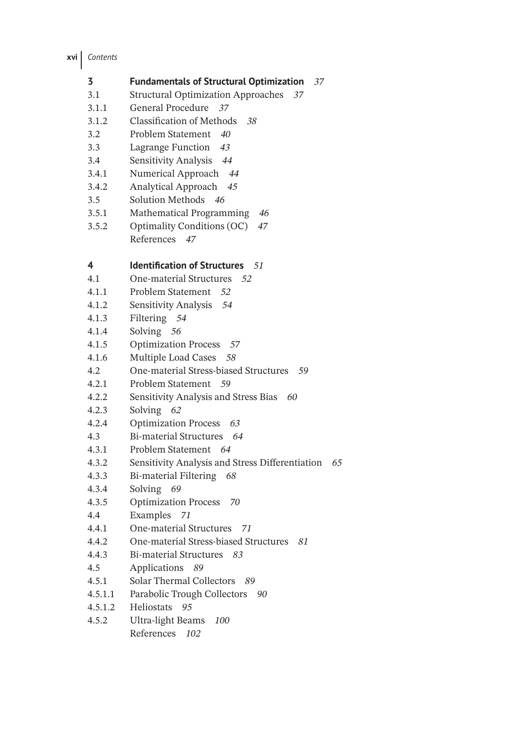**xvi** *Contents*

| <b>Fundamentals of Structural Optimization</b> 37 |  |
|---------------------------------------------------|--|
|                                                   |  |

- 3.1 Structural Optimization Approaches *37*
- 3.1.1 General Procedure *37*
- 3.1.2 Classification of Methods *38*
- 3.2 Problem Statement *40*
- 3.3 Lagrange Function *43*
- 3.4 Sensitivity Analysis *44*
- 3.4.1 Numerical Approach *44*
- 3.4.2 Analytical Approach *45*
- 3.5 Solution Methods *46*
- 3.5.1 Mathematical Programming *46*
- 3.5.2 Optimality Conditions (OC) *47*
	- References *47*

### **4 Identification of Structures** *51*

- 4.1 One-material Structures *52*
- 4.1.1 Problem Statement *52*
- 4.1.2 Sensitivity Analysis *54*
- 4.1.3 Filtering *54*
- 4.1.4 Solving *56*
- 4.1.5 Optimization Process *57*
- 4.1.6 Multiple Load Cases *58*
- 4.2 One-material Stress-biased Structures *59*
- 4.2.1 Problem Statement *59*
- 4.2.2 Sensitivity Analysis and Stress Bias *60*
- 4.2.3 Solving *62*
- 4.2.4 Optimization Process *63*
- 4.3 Bi-material Structures *64*
- 4.3.1 Problem Statement *64*
- 4.3.2 Sensitivity Analysis and Stress Differentiation *65*
- 4.3.3 Bi-material Filtering *68*
- 4.3.4 Solving *69*
- 4.3.5 Optimization Process *70*
- 4.4 Examples *71*
- 4.4.1 One-material Structures *71*
- 4.4.2 One-material Stress-biased Structures *81*
- 4.4.3 Bi-material Structures *83*
- 4.5 Applications *89*
- 4.5.1 Solar Thermal Collectors *89*
- 4.5.1.1 Parabolic Trough Collectors *90*
- 4.5.1.2 Heliostats *95*
- 4.5.2 Ultra-light Beams *100* References *102*